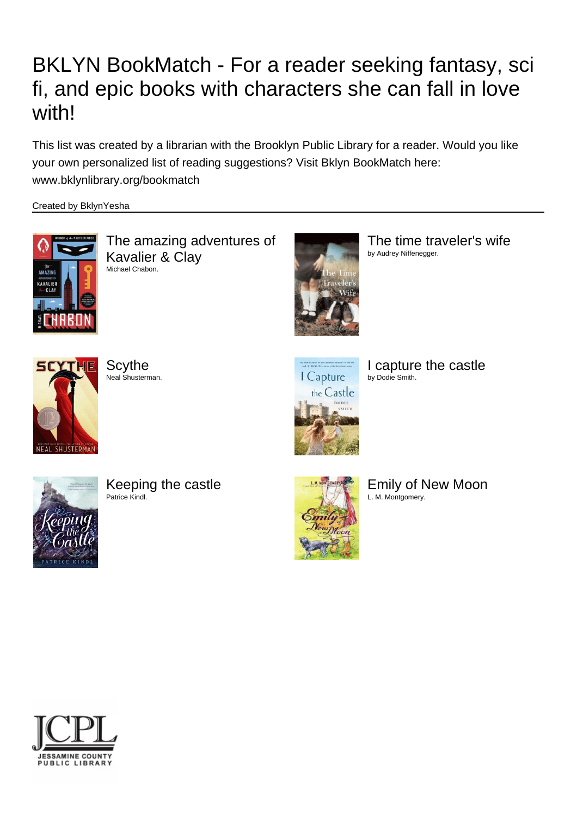## BKLYN BookMatch - For a reader seeking fantasy, sci fi, and epic books with characters she can fall in love with!

This list was created by a librarian with the Brooklyn Public Library for a reader. Would you like your own personalized list of reading suggestions? Visit Bklyn BookMatch here: www.bklynlibrary.org/bookmatch

Created by BklynYesha



The amazing adventures of Kavalier & Clay Michael Chabon.



The time traveler's wife by Audrey Niffenegger.



**Scythe** Neal Shusterman.



I capture the castle by Dodie Smith.



Keeping the castle Patrice Kindl.



Emily of New Moon L. M. Montgomery.

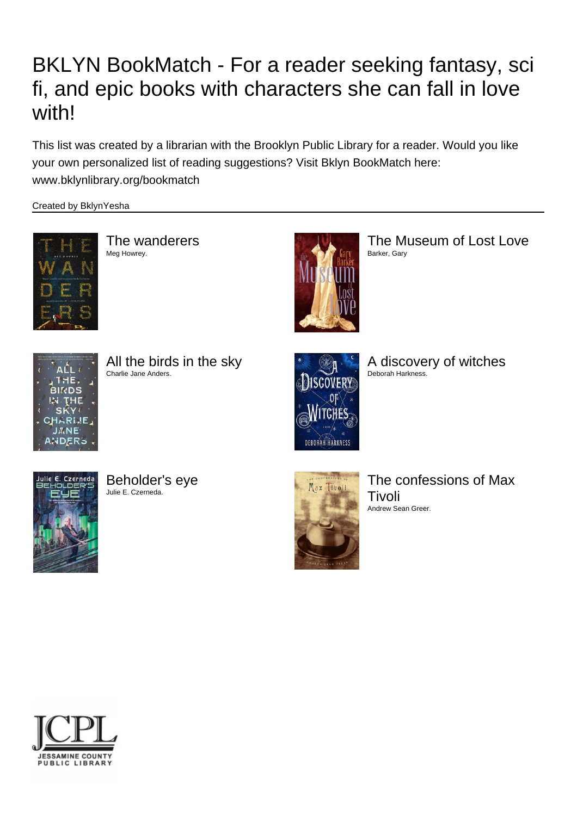## BKLYN BookMatch - For a reader seeking fantasy, sci fi, and epic books with characters she can fall in love with!

This list was created by a librarian with the Brooklyn Public Library for a reader. Would you like your own personalized list of reading suggestions? Visit Bklyn BookMatch here: www.bklynlibrary.org/bookmatch

Created by BklynYesha



The wanderers Meg Howrey.



The Museum of Lost Love Barker, Gary



All the birds in the sky Charlie Jane Anders.



A discovery of witches Deborah Harkness.



Beholder's eye Julie E. Czerneda.



The confessions of Max Tivoli Andrew Sean Greer.